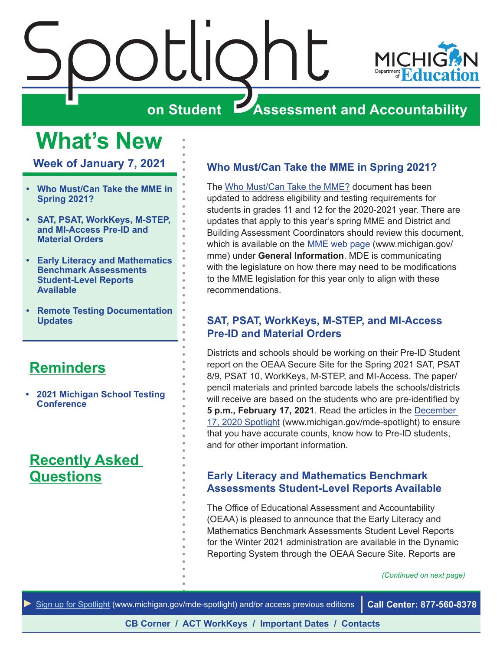<span id="page-0-0"></span>

### **What's New**

**Week of January 7, 2021**

- **• Who Must/Can Take the MME in Spring 2021?**
- **• SAT, PSAT, WorkKeys, M-STEP, and MI-Access Pre-ID and Material Orders**
- **• Early Literacy and Mathematics Benchmark Assessments Student-Level Reports Available**
- **• [Remote Testing Documentation](#page-1-0)  [Updates](#page-1-0)**

#### **[Reminders](#page-2-0)**

**• [2021 Michigan School Testing](#page-2-0)  [Conference](#page-2-0)** 

#### **[Recently Asked](#page-8-0)  [Questions](#page-8-0)**

#### **Who Must/Can Take the MME in Spring 2021?**

The [Who Must/Can Take the MME?](https://www.michigan.gov/documents/mde/MME_Eligibility_544301_7.pdf) document has been updated to address eligibility and testing requirements for students in grades 11 and 12 for the 2020-2021 year. There are updates that apply to this year's spring MME and District and Building Assessment Coordinators should review this document, which is available on the [MME web page](www.michigan.gov/mme) (www.michigan.gov/ mme) under **General Information**. MDE is communicating with the legislature on how there may need to be modifications to the MME legislation for this year only to align with these recommendations.

#### **SAT, PSAT, WorkKeys, M-STEP, and MI-Access Pre-ID and Material Orders**

Districts and schools should be working on their Pre-ID Student report on the OEAA Secure Site for the Spring 2021 SAT, PSAT 8/9, PSAT 10, WorkKeys, M-STEP, and MI-Access. The paper/ pencil materials and printed barcode labels the schools/districts will receive are based on the students who are pre-identified by **5 p.m., February 17, 2021**. Read the articles in the [December](https://www.michigan.gov/documents/mde/Spotlight_12-17-20_710900_7.pdf)  [17, 2020 Spotlight](https://www.michigan.gov/documents/mde/Spotlight_12-17-20_710900_7.pdf) (www.michigan.gov/mde-spotlight) to ensure that you have accurate counts, know how to Pre-ID students, and for other important information.

#### **Early Literacy and Mathematics Benchmark Assessments Student-Level Reports Available**

The Office of Educational Assessment and Accountability (OEAA) is pleased to announce that the Early Literacy and Mathematics Benchmark Assessments Student Level Reports for the Winter 2021 administration are available in the Dynamic Reporting System through the OEAA Secure Site. Reports are

*(Continued on next page)*

*►* [Sign up for Spotlight](https://public.govdelivery.com/accounts/MIMDE/subscriber/new) ([www.michigan.gov/mde](www.michigan.gov/mde-spotlight)-spotlight) and/or access previous editions **Call Center: 877-560-8378**

**[CB Corner](#page-3-0) / [ACT WorkKeys](#page-6-0) / [Important Dates](#page-9-0) / [Contacts](#page-10-0)**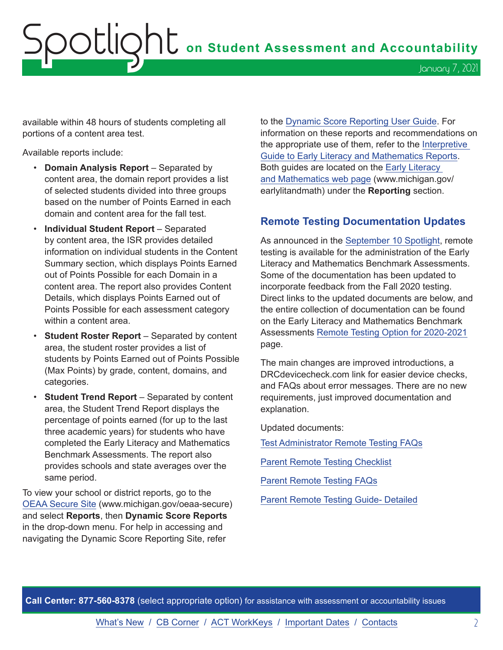## <span id="page-1-0"></span>Spotlight **on Student Assessment and Accountability** January 7, 2021

available within 48 hours of students completing all portions of a content area test.

Available reports include:

- **Domain Analysis Report** Separated by content area, the domain report provides a list of selected students divided into three groups based on the number of Points Earned in each domain and content area for the fall test.
- **Individual Student Report**  Separated by content area, the ISR provides detailed information on individual students in the Content Summary section, which displays Points Earned out of Points Possible for each Domain in a content area. The report also provides Content Details, which displays Points Earned out of Points Possible for each assessment category within a content area.
- **Student Roster Report** Separated by content area, the student roster provides a list of students by Points Earned out of Points Possible (Max Points) by grade, content, domains, and categories.
- **Student Trend Report** Separated by content area, the Student Trend Report displays the percentage of points earned (for up to the last three academic years) for students who have completed the Early Literacy and Mathematics Benchmark Assessments. The report also provides schools and state averages over the same period.

To view your school or district reports, go to the [OEAA Secure Site](http://www.michigan.gov/oeaa-secure) (www.michigan.gov/oeaa-secure) and select **Reports**, then **Dynamic Score Reports** in the drop-down menu. For help in accessing and navigating the Dynamic Score Reporting Site, refer

to the [Dynamic Score Reporting User Guide.](https://www.michigan.gov/documents/mde/How_to_Navigate_Dynamic_Score_Reports_532306_7.pdf) For information on these reports and recommendations on the appropriate use of them, refer to the [Interpretive](https://www.michigan.gov/documents/mde/19-20_Interpretive_Guide_to_Early_Literacy_and_Mathematics_Reports_662553_7.pdf)  [Guide to Early Literacy and Mathematics Reports.](https://www.michigan.gov/documents/mde/19-20_Interpretive_Guide_to_Early_Literacy_and_Mathematics_Reports_662553_7.pdf) Both guides are located on the [Early Literacy](www.michigan.gov/earlylitandmath)  [and Mathematics web page](www.michigan.gov/earlylitandmath) (www.michigan.gov/ earlylitandmath) under the **Reporting** section.

#### **Remote Testing Documentation Updates**

As announced in the [September 10 Spotlight,](https://www.michigan.gov/documents/mde/Spotlight_9-10-20_701997_7.pdf) remote testing is available for the administration of the Early Literacy and Mathematics Benchmark Assessments. Some of the documentation has been updated to incorporate feedback from the Fall 2020 testing. Direct links to the updated documents are below, and the entire collection of documentation can be found on the Early Literacy and Mathematics Benchmark Assessments [Remote Testing Option for 2020-2021](https://www.michigan.gov/mde/0,4615,7-140-22709_63192-539573--,00.html) page.

The main changes are improved introductions, a DRCdevicecheck.com link for easier device checks, and FAQs about error messages. There are no new requirements, just improved documentation and explanation.

Updated documents:

[Test Administrator Remote Testing FAQs](https://www.michigan.gov/documents/mde/Test_Administrator_Remote_Testing_FAQs_702128_7.pdf)

[Parent Remote Testing Checklist](https://www.michigan.gov/documents/mde/Parent_Remote_Testing_Checklist_702095_7.pdf)

[Parent Remote Testing FAQs](https://www.michigan.gov/documents/mde/Parent_Remote_Testing_FAQs_702099_7.pdf)

[Parent Remote Testing Guide- Detailed](https://www.michigan.gov/documents/mde/Parent_Remote_Testing_Guide-_Detailed_702100_7.pdf)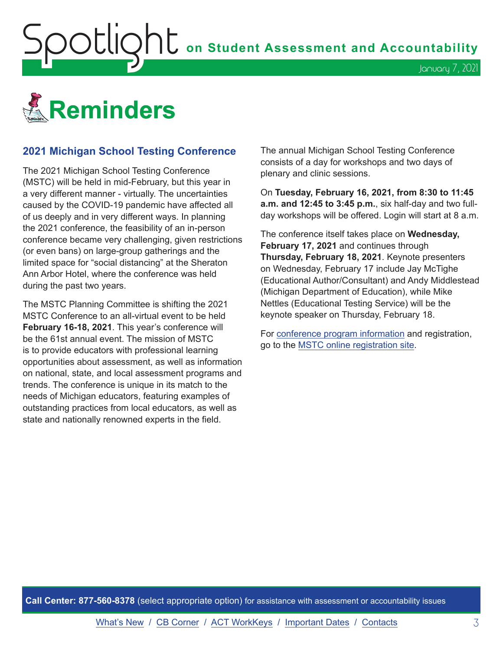<span id="page-2-0"></span>**OOUIQNU** on Student Assessment and Accountability



#### **2021 Michigan School Testing Conference**

The 2021 Michigan School Testing Conference (MSTC) will be held in mid-February, but this year in a very different manner - virtually. The uncertainties caused by the COVID-19 pandemic have affected all of us deeply and in very different ways. In planning the 2021 conference, the feasibility of an in-person conference became very challenging, given restrictions (or even bans) on large-group gatherings and the limited space for "social distancing" at the Sheraton Ann Arbor Hotel, where the conference was held during the past two years.

The MSTC Planning Committee is shifting the 2021 MSTC Conference to an all-virtual event to be held **February 16-18, 2021**. This year's conference will be the 61st annual event. The mission of MSTC is to provide educators with professional learning opportunities about assessment, as well as information on national, state, and local assessment programs and trends. The conference is unique in its match to the needs of Michigan educators, featuring examples of outstanding practices from local educators, as well as state and nationally renowned experts in the field.

The annual Michigan School Testing Conference consists of a day for workshops and two days of plenary and clinic sessions.

On **Tuesday, February 16, 2021, from 8:30 to 11:45 a.m. and 12:45 to 3:45 p.m.**, six half-day and two fullday workshops will be offered. Login will start at 8 a.m.

January 7, 2021

The conference itself takes place on **Wednesday, February 17, 2021** and continues through **Thursday, February 18, 2021**. Keynote presenters on Wednesday, February 17 include Jay McTighe (Educational Author/Consultant) and Andy Middlestead (Michigan Department of Education), while Mike Nettles (Educational Testing Service) will be the keynote speaker on Thursday, February 18.

For [conference program information](http://gomasa.org/wp-content/uploads/mstcPromo2021.pdf) and registration, go to the [MSTC online registration site](http://gomasa.org/mstc2021).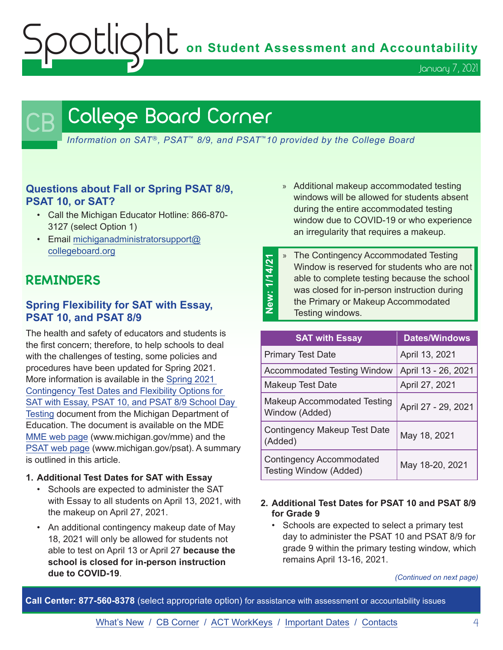Spotlight **on Student Assessment and Accountability**

January 7, 2021

## <span id="page-3-0"></span>College Board Corner

*Information on SAT*®*, PSAT*™ *8/9, and PSAT*™*10 provided by the College Board*

#### **Questions about Fall or Spring PSAT 8/9, PSAT 10, or SAT?**

- Call the Michigan Educator Hotline: 866-870- 3127 (select Option 1)
- Email [michiganadministratorsupport@](mailto:michiganadministratorsupport%40collegeboard.org?subject=) [collegeboard.org](mailto:michiganadministratorsupport%40collegeboard.org?subject=)

#### **REMINDERS**

#### **Spring Flexibility for SAT with Essay, PSAT 10, and PSAT 8/9**

The health and safety of educators and students is the first concern; therefore, to help schools to deal with the challenges of testing, some policies and procedures have been updated for Spring 2021. More information is available in the [Spring 2021](https://www.michigan.gov/documents/mde/Spring_2021_Contingency_Test_Dates_and_Flexibility_Options_710735_7.pdf)  [Contingency Test Dates and Flexibility Options for](https://www.michigan.gov/documents/mde/Spring_2021_Contingency_Test_Dates_and_Flexibility_Options_710735_7.pdf)  [SAT with Essay, PSAT 10, and PSAT 8/9 School Day](https://www.michigan.gov/documents/mde/Spring_2021_Contingency_Test_Dates_and_Flexibility_Options_710735_7.pdf)  [Testing](https://www.michigan.gov/documents/mde/Spring_2021_Contingency_Test_Dates_and_Flexibility_Options_710735_7.pdf) document from the Michigan Department of Education. The document is available on the MDE [MME web page](www.michigan.gov/mme) (www.michigan.gov/mme) and the [PSAT web page](http://www.michigan.gov/psat) (www.michigan.gov/psat). A summary is outlined in this article.

#### **1. Additional Test Dates for SAT with Essay**

- Schools are expected to administer the SAT with Essay to all students on April 13, 2021, with the makeup on April 27, 2021.
- An additional contingency makeup date of May 18, 2021 will only be allowed for students not able to test on April 13 or April 27 **because the school is closed for in-person instruction due to COVID-19**.
- » Additional makeup accommodated testing windows will be allowed for students absent during the entire accommodated testing window due to COVID-19 or who experience an irregularity that requires a makeup.
- <sup>3</sup> The Contingency Accommodated Testing<br>
Window is reserved for students who are able to complete testing because the schowas closed for in-person instruction during<br>
the Primary or Makeup Accommodated<br>
Testing windows Window is reserved for students who are not able to complete testing because the school was closed for in-person instruction during the Primary or Makeup Accommodated Testing windows.

| <b>SAT with Essay</b>                                            | <b>Dates/Windows</b> |
|------------------------------------------------------------------|----------------------|
| <b>Primary Test Date</b>                                         | April 13, 2021       |
| <b>Accommodated Testing Window</b>                               | April 13 - 26, 2021  |
| Makeup Test Date                                                 | April 27, 2021       |
| <b>Makeup Accommodated Testing</b><br>Window (Added)             | April 27 - 29, 2021  |
| Contingency Makeup Test Date<br>(Added)                          | May 18, 2021         |
| <b>Contingency Accommodated</b><br><b>Testing Window (Added)</b> | May 18-20, 2021      |

#### **2. Additional Test Dates for PSAT 10 and PSAT 8/9 for Grade 9**

• Schools are expected to select a primary test day to administer the PSAT 10 and PSAT 8/9 for grade 9 within the primary testing window, which remains April 13-16, 2021.

*(Continued on next page)*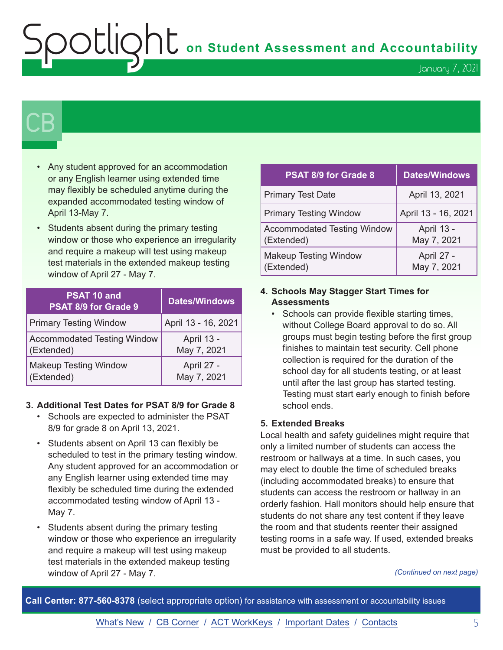$\sum_{i=1}^{n} \sum_{i=1}^{n} \sigma_i$  on Student Assessment and Accountability

## $\mathsf{CB}\mid$

- Any student approved for an accommodation or any English learner using extended time may flexibly be scheduled anytime during the expanded accommodated testing window of April 13-May 7.
- Students absent during the primary testing window or those who experience an irregularity and require a makeup will test using makeup test materials in the extended makeup testing window of April 27 - May 7.

| PSAT 10 and<br>PSAT 8/9 for Grade 9 | <b>Dates/Windows</b> |
|-------------------------------------|----------------------|
| <b>Primary Testing Window</b>       | April 13 - 16, 2021  |
| <b>Accommodated Testing Window</b>  | April 13 -           |
| (Extended)                          | May 7, 2021          |
| <b>Makeup Testing Window</b>        | April 27 -           |
| (Extended)                          | May 7, 2021          |

#### **3. Additional Test Dates for PSAT 8/9 for Grade 8**

- Schools are expected to administer the PSAT 8/9 for grade 8 on April 13, 2021.
- Students absent on April 13 can flexibly be scheduled to test in the primary testing window. Any student approved for an accommodation or any English learner using extended time may flexibly be scheduled time during the extended accommodated testing window of April 13 - May 7.
- Students absent during the primary testing window or those who experience an irregularity and require a makeup will test using makeup test materials in the extended makeup testing window of April 27 - May 7.

| <b>PSAT 8/9 for Grade 8</b>                      | <b>Dates/Windows</b>      |
|--------------------------------------------------|---------------------------|
| <b>Primary Test Date</b>                         | April 13, 2021            |
| <b>Primary Testing Window</b>                    | April 13 - 16, 2021       |
| <b>Accommodated Testing Window</b><br>(Extended) | April 13 -<br>May 7, 2021 |
| <b>Makeup Testing Window</b><br>(Extended)       | April 27 -<br>May 7, 2021 |

#### **4. Schools May Stagger Start Times for Assessments**

• Schools can provide flexible starting times, without College Board approval to do so. All groups must begin testing before the first group finishes to maintain test security. Cell phone collection is required for the duration of the school day for all students testing, or at least until after the last group has started testing. Testing must start early enough to finish before school ends.

#### **5. Extended Breaks**

Local health and safety guidelines might require that only a limited number of students can access the restroom or hallways at a time. In such cases, you may elect to double the time of scheduled breaks (including accommodated breaks) to ensure that students can access the restroom or hallway in an orderly fashion. Hall monitors should help ensure that students do not share any test content if they leave the room and that students reenter their assigned testing rooms in a safe way. If used, extended breaks must be provided to all students.

*(Continued on next page)*

**Call Center: 877-560-8378** (select appropriate option) for assistance with assessment or accountability issues

[What's New](#page-0-0) / [CB Corner](#page-3-0) / [ACT WorkKeys](#page-6-0) / [Important Dates](#page-9-0) / [Contacts](#page-10-0) 5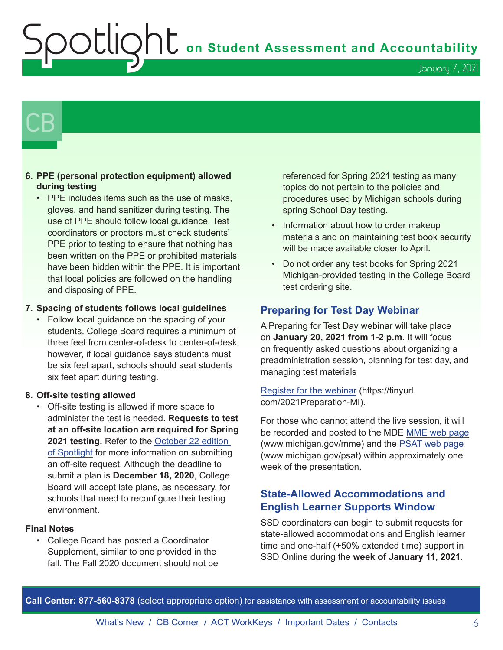Spotlight **on Student Assessment and Accountability**

January 7, 2021

## $\mathsf{CB}\mid$

#### **6. PPE (personal protection equipment) allowed during testing**

• PPE includes items such as the use of masks, gloves, and hand sanitizer during testing. The use of PPE should follow local guidance. Test coordinators or proctors must check students' PPE prior to testing to ensure that nothing has been written on the PPE or prohibited materials have been hidden within the PPE. It is important that local policies are followed on the handling and disposing of PPE.

#### **7. Spacing of students follows local guidelines**

• Follow local guidance on the spacing of your students. College Board requires a minimum of three feet from center-of-desk to center-of-desk; however, if local guidance says students must be six feet apart, schools should seat students six feet apart during testing.

#### **8. Off-site testing allowed**

• Off-site testing is allowed if more space to administer the test is needed. **Requests to test at an off-site location are required for Spring 2021 testing.** Refer to the [October 22 edition](https://www.michigan.gov/documents/mde/Spotlight_10-22-20_705870_7.pdf)  [of Spotlight](https://www.michigan.gov/documents/mde/Spotlight_10-22-20_705870_7.pdf) for more information on submitting an off-site request. Although the deadline to submit a plan is **December 18, 2020**, College Board will accept late plans, as necessary, for schools that need to reconfigure their testing environment.

#### **Final Notes**

• College Board has posted a Coordinator Supplement, similar to one provided in the fall. The Fall 2020 document should not be

referenced for Spring 2021 testing as many topics do not pertain to the policies and procedures used by Michigan schools during spring School Day testing.

- Information about how to order makeup materials and on maintaining test book security will be made available closer to April.
- Do not order any test books for Spring 2021 Michigan-provided testing in the College Board test ordering site.

#### **Preparing for Test Day Webinar**

A Preparing for Test Day webinar will take place on **January 20, 2021 from 1-2 p.m.** It will focus on frequently asked questions about organizing a preadministration session, planning for test day, and managing test materials

[Register for the webinar](https://tinyurl.com/2021Preparation-MI) (https://tinyurl. com/2021Preparation-MI).

For those who cannot attend the live session, it will be recorded and posted to the MDE [MME web page](www.michigan.gov/mme) (www.michigan.gov/mme) and the [PSAT web page](http://www.michigan.gov/psat) (www.michigan.gov/psat) within approximately one week of the presentation.

#### **State-Allowed Accommodations and English Learner Supports Window**

SSD coordinators can begin to submit requests for state-allowed accommodations and English learner time and one-half (+50% extended time) support in SSD Online during the **week of January 11, 2021**.

**Call Center: 877-560-8378** (select appropriate option) for assistance with assessment or accountability issues

[What's New](#page-0-0) / [CB Corner](#page-3-0) / [ACT WorkKeys](#page-6-0) / [Important Dates](#page-9-0) / [Contacts](#page-10-0) 66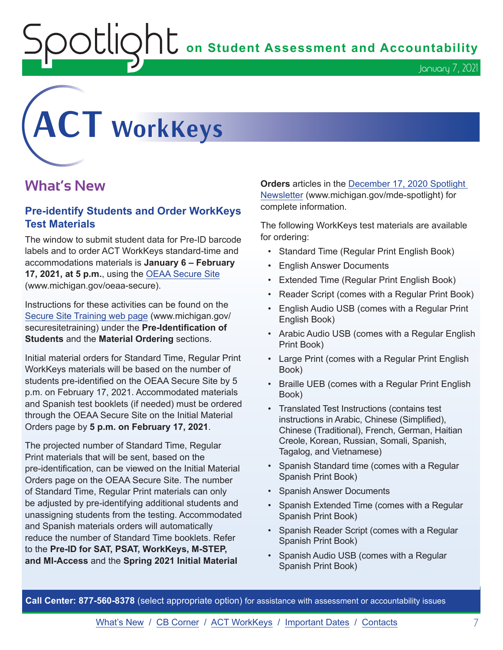$\mathop{\rm O}\nolimits$   $\mathop{\rm Cl}\nolimits$   $\mathop{\rm O}\nolimits$   $\mathop{\rm Cl}\nolimits$  on Student Assessment and Accountability

# <span id="page-6-0"></span>**ACT WorkKeys**

#### **What's New**

#### **Pre-identify Students and Order WorkKeys Test Materials**

The window to submit student data for Pre-ID barcode labels and to order ACT WorkKeys standard-time and accommodations materials is **January 6 – February 17, 2021, at 5 p.m.**, using the [OEAA Secure Site](http://www.michigan.gov/oeaa-secure) (www.michigan.gov/oeaa-secure).

Instructions for these activities can be found on the [Secure Site Training web page](http://www.michigan.gov/securesitetraining) (www.michigan.gov/ securesitetraining) under the **Pre-Identification of Students** and the **Material Ordering** sections.

Initial material orders for Standard Time, Regular Print WorkKeys materials will be based on the number of students pre-identified on the OEAA Secure Site by 5 p.m. on February 17, 2021. Accommodated materials and Spanish test booklets (if needed) must be ordered through the OEAA Secure Site on the Initial Material Orders page by **5 p.m. on February 17, 2021**.

The projected number of Standard Time, Regular Print materials that will be sent, based on the pre-identification, can be viewed on the Initial Material Orders page on the OEAA Secure Site. The number of Standard Time, Regular Print materials can only be adjusted by pre-identifying additional students and unassigning students from the testing. Accommodated and Spanish materials orders will automatically reduce the number of Standard Time booklets. Refer to the **Pre-ID for SAT, PSAT, WorkKeys, M-STEP, and MI-Access** and the **Spring 2021 Initial Material** 

**Orders** articles in the [December 17, 2020 Spotlight](https://www.michigan.gov/documents/mde/Spotlight_12-17-20_710900_7.pdf)  [Newsletter](https://www.michigan.gov/documents/mde/Spotlight_12-17-20_710900_7.pdf) (www.michigan.gov/mde-spotlight) for complete information.

The following WorkKeys test materials are available for ordering:

- Standard Time (Regular Print English Book)
- English Answer Documents
- Extended Time (Regular Print English Book)
- Reader Script (comes with a Regular Print Book)
- English Audio USB (comes with a Regular Print English Book)
- Arabic Audio USB (comes with a Regular English Print Book)
- Large Print (comes with a Regular Print English Book)
- Braille UEB (comes with a Regular Print English Book)
- Translated Test Instructions (contains test instructions in Arabic, Chinese (Simplified), Chinese (Traditional), French, German, Haitian Creole, Korean, Russian, Somali, Spanish, Tagalog, and Vietnamese)
- Spanish Standard time (comes with a Regular Spanish Print Book)
- Spanish Answer Documents
- Spanish Extended Time (comes with a Regular Spanish Print Book)
- Spanish Reader Script (comes with a Regular Spanish Print Book)
- Spanish Audio USB (comes with a Regular Spanish Print Book)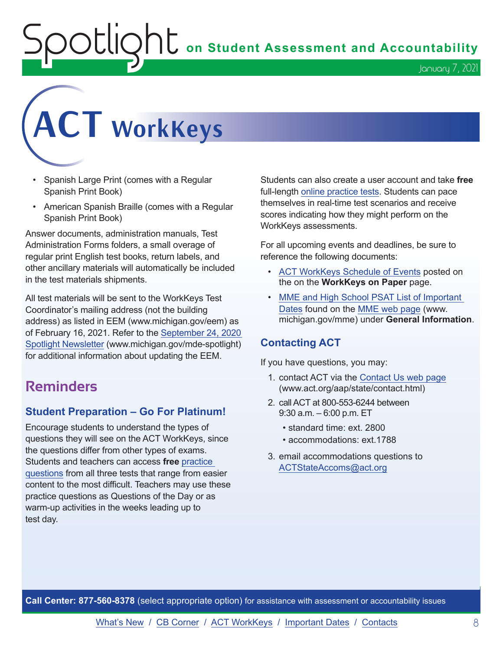$\sum_{i=1}^n\sum_{j=1}^n\sum_{j=1}^n\sum_{j=1}^n\sum_{j=1}^n\sum_{j=1}^n\sum_{j=1}^n\sum_{j=1}^n\sum_{j=1}^n\sum_{j=1}^n\sum_{j=1}^n\sum_{j=1}^n\sum_{j=1}^n\sum_{j=1}^n\sum_{j=1}^n\sum_{j=1}^n\sum_{j=1}^n\sum_{j=1}^n\sum_{j=1}^n\sum_{j=1}^n\sum_{j=1}^n\sum_{j=1}^n\sum_{j=1}^n\sum_{j=1}^n\sum_{j$ 

January 7, 2021

# **ACT WorkKeys**

- Spanish Large Print (comes with a Regular Spanish Print Book)
- American Spanish Braille (comes with a Regular Spanish Print Book)

Answer documents, administration manuals, Test Administration Forms folders, a small overage of regular print English test books, return labels, and other ancillary materials will automatically be included in the test materials shipments.

All test materials will be sent to the WorkKeys Test Coordinator's mailing address (not the building address) as listed in EEM (www.michigan.gov/eem) as of February 16, 2021. Refer to the [September 24, 2020](https://www.michigan.gov/documents/mde/Spotlight_9-24-20_703294_7.pdf)  [Spotlight Newsletter](https://www.michigan.gov/documents/mde/Spotlight_9-24-20_703294_7.pdf) (www.michigan.gov/mde-spotlight) for additional information about updating the EEM.

#### **Reminders**

#### **Student Preparation – Go For Platinum!**

Encourage students to understand the types of questions they will see on the ACT WorkKeys, since the questions differ from other types of exams. Students and teachers can access **free** [practice](https://www.act.org/content/act/en/products-and-services/workkeys-for-job-seekers/preparation.html)  [questions](https://www.act.org/content/act/en/products-and-services/workkeys-for-job-seekers/preparation.html) from all three tests that range from easier content to the most difficult. Teachers may use these practice questions as Questions of the Day or as warm-up activities in the weeks leading up to test day.

Students can also create a user account and take **free** full-length [online practice tests.](https://testregistration.org/rsp/Login.do?event=go&realm=20770563) Students can pace themselves in real-time test scenarios and receive scores indicating how they might perform on the WorkKeys assessments.

For all upcoming events and deadlines, be sure to reference the following documents:

- [ACT WorkKeys Schedule of Events](https://content.act.org/michigan/reader/QvOmVKFL9Yw0c_sitVNlXA/urb67ck4C1ph7SNsFsEoaA) posted on the on the **WorkKeys on Paper** page.
- [MME and High School PSAT List of Important](https://www.michigan.gov/mde/0,4615,7-140-22709_35150-544814--,00.html)  [Dates](https://www.michigan.gov/mde/0,4615,7-140-22709_35150-544814--,00.html) found on the [MME web page](www.michigan.gov/mme) (www. michigan.gov/mme) under **General Information**.

#### **Contacting ACT**

If you have questions, you may:

- 1. contact ACT via the [Contact Us web page](http://www.act.org/aap/state/contact.html) [\(www.act.org/aap/state/contact.html\)](https://www.act.org/aap/state/contact.html)
- 2. call ACT at 800-553-6244 between 9:30 a.m. – 6:00 p.m. ET
	- standard time: ext. 2800
	- accommodations: ext.1788
- 3. email accommodations questions to [ACTStateAccoms@act.org](mailto:ACTStateAccoms%40act.org?subject=)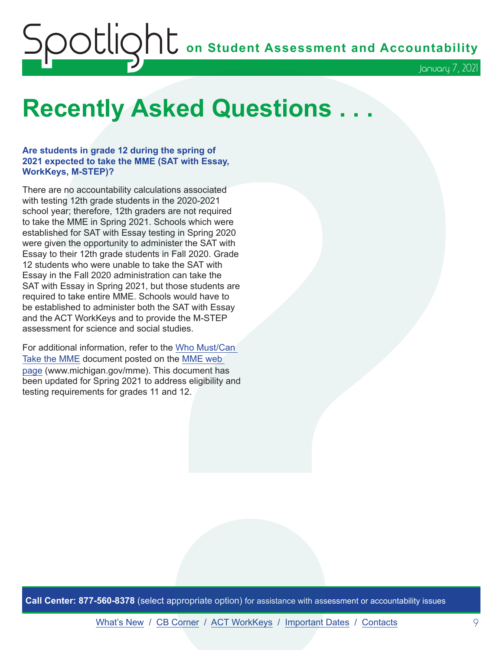## <span id="page-8-0"></span>Spotlight **on Student Assessment and Accountability** January 7, 2021

## **Recently Asked Questions . . .**

#### **Are students in grade 12 during the spring of 2021 expected to take the MME (SAT with Essay, WorkKeys, M-STEP)?**

There are no accountability calculations associated with testing 12th grade students in the 2020-2021 school year; therefore, 12th graders are not required to take the MME in Spring 2021. Schools which were established for SAT with Essay testing in Spring 2020 were given the opportunity to administer the SAT with Essay to their 12th grade students in Fall 2020. Grade 12 students who were unable to take the SAT with Essay in the Fall 2020 administration can take the SAT with Essay in Spring 2021, but those students are required to take entire MME. Schools would have to be established to administer both the SAT with Essay and the ACT WorkKeys and to provide the M-STEP assessment for science and social studies.

For additional information, refer to the [Who Must/Can](https://www.michigan.gov/documents/mde/MME_Eligibility_544301_7.pdf)  [Take the MME](https://www.michigan.gov/documents/mde/MME_Eligibility_544301_7.pdf) document posted on the [MME web](www.michigan.gov/mme)  [page](www.michigan.gov/mme) (www.michigan.gov/mme). This document has been updated for Spring 2021 to address eligibility and testing requirements for grades 11 and 12.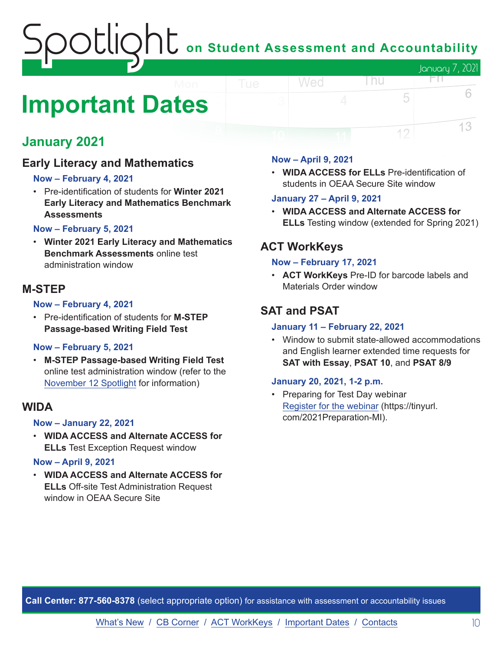### on Student Assessment and Accountability January 7, 2021 FП

## <span id="page-9-0"></span>**Important Dates**

#### **January 2021**

#### **Early Literacy and Mathematics**

#### **Now – February 4, 2021**

• Pre-identification of students for **Winter 2021 Early Literacy and Mathematics Benchmark Assessments**

#### **Now – February 5, 2021**

• **Winter 2021 Early Literacy and Mathematics Benchmark Assessments** online test administration window

#### **M-STEP**

#### **Now – February 4, 2021**

• Pre-identification of students for **M-STEP Passage-based Writing Field Test**

#### **Now – February 5, 2021**

• **M-STEP Passage-based Writing Field Test** online test administration window (refer to the [November 12 Spotlight](https://www.michigan.gov/documents/mde/Spotlight_11-12-20_707634_7.pdf) for information)

#### **WIDA**

#### **Now – January 22, 2021**

• **WIDA ACCESS and Alternate ACCESS for ELLs** Test Exception Request window

#### **Now – April 9, 2021**

• **WIDA ACCESS and Alternate ACCESS for ELLs** Off-site Test Administration Request window in OEAA Secure Site

#### **Now – April 9, 2021**

Wed

• **WIDA ACCESS for ELLs** Pre-identification of students in OEAA Secure Site window

l nu

5

12

6

13

#### **January 27 – April 9, 2021**

• **WIDA ACCESS and Alternate ACCESS for ELLs** Testing window (extended for Spring 2021)

#### **ACT WorkKeys**

#### **Now – February 17, 2021**

• **ACT WorkKeys** Pre-ID for barcode labels and Materials Order window

#### **SAT and PSAT**

#### **January 11 – February 22, 2021**

• Window to submit state-allowed accommodations and English learner extended time requests for **SAT with Essay**, **PSAT 10**, and **PSAT 8/9**

#### **January 20, 2021, 1-2 p.m.**

• Preparing for Test Day webinar [Register for the webinar](https://tinyurl.com/2021Preparation-MI) (https://tinyurl. com/2021Preparation-MI).